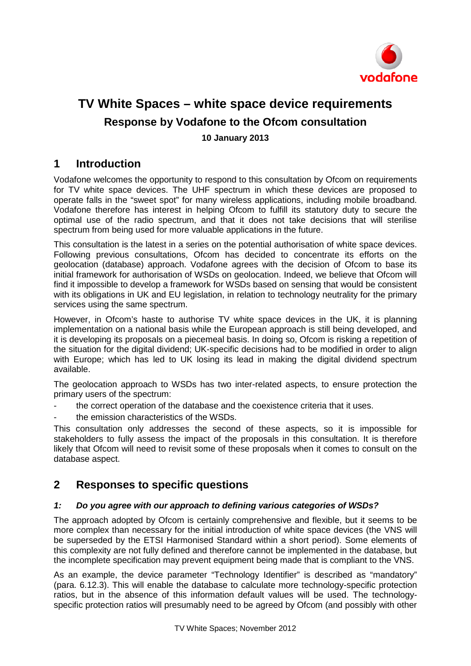

# **TV White Spaces – white space device requirements Response by Vodafone to the Ofcom consultation 10 January 2013**

## **1 Introduction**

Vodafone welcomes the opportunity to respond to this consultation by Ofcom on requirements for TV white space devices. The UHF spectrum in which these devices are proposed to operate falls in the "sweet spot" for many wireless applications, including mobile broadband. Vodafone therefore has interest in helping Ofcom to fulfill its statutory duty to secure the optimal use of the radio spectrum, and that it does not take decisions that will sterilise spectrum from being used for more valuable applications in the future.

This consultation is the latest in a series on the potential authorisation of white space devices. Following previous consultations, Ofcom has decided to concentrate its efforts on the geolocation (database) approach. Vodafone agrees with the decision of Ofcom to base its initial framework for authorisation of WSDs on geolocation. Indeed, we believe that Ofcom will find it impossible to develop a framework for WSDs based on sensing that would be consistent with its obligations in UK and EU legislation, in relation to technology neutrality for the primary services using the same spectrum.

However, in Ofcom's haste to authorise TV white space devices in the UK, it is planning implementation on a national basis while the European approach is still being developed, and it is developing its proposals on a piecemeal basis. In doing so, Ofcom is risking a repetition of the situation for the digital dividend; UK-specific decisions had to be modified in order to align with Europe; which has led to UK losing its lead in making the digital dividend spectrum available.

The geolocation approach to WSDs has two inter-related aspects, to ensure protection the primary users of the spectrum:

- the correct operation of the database and the coexistence criteria that it uses.
- the emission characteristics of the WSDs.

This consultation only addresses the second of these aspects, so it is impossible for stakeholders to fully assess the impact of the proposals in this consultation. It is therefore likely that Ofcom will need to revisit some of these proposals when it comes to consult on the database aspect.

## **2 Responses to specific questions**

## *1: Do you agree with our approach to defining various categories of WSDs?*

The approach adopted by Ofcom is certainly comprehensive and flexible, but it seems to be more complex than necessary for the initial introduction of white space devices (the VNS will be superseded by the ETSI Harmonised Standard within a short period). Some elements of this complexity are not fully defined and therefore cannot be implemented in the database, but the incomplete specification may prevent equipment being made that is compliant to the VNS.

As an example, the device parameter "Technology Identifier" is described as "mandatory" (para. 6.12.3). This will enable the database to calculate more technology-specific protection ratios, but in the absence of this information default values will be used. The technologyspecific protection ratios will presumably need to be agreed by Ofcom (and possibly with other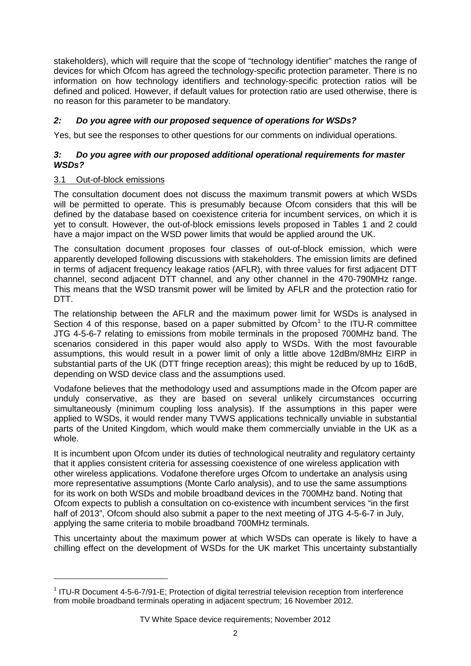stakeholders), which will require that the scope of "technology identifier" matches the range of devices for which Ofcom has agreed the technology-specific protection parameter. There is no information on how technology identifiers and technology-specific protection ratios will be defined and policed. However, if default values for protection ratio are used otherwise, there is no reason for this parameter to be mandatory.

## *2: Do you agree with our proposed sequence of operations for WSDs?*

Yes, but see the responses to other questions for our comments on individual operations.

## *3: Do you agree with our proposed additional operational requirements for master WSDs?*

## 3.1 Out-of-block emissions

-

The consultation document does not discuss the maximum transmit powers at which WSDs will be permitted to operate. This is presumably because Ofcom considers that this will be defined by the database based on coexistence criteria for incumbent services, on which it is yet to consult. However, the out-of-block emissions levels proposed in Tables 1 and 2 could have a major impact on the WSD power limits that would be applied around the UK.

The consultation document proposes four classes of out-of-block emission, which were apparently developed following discussions with stakeholders. The emission limits are defined in terms of adjacent frequency leakage ratios (AFLR), with three values for first adjacent DTT channel, second adjacent DTT channel, and any other channel in the 470-790MHz range. This means that the WSD transmit power will be limited by AFLR and the protection ratio for DTT.

<span id="page-1-1"></span>The relationship between the AFLR and the maximum power limit for WSDs is analysed in Section 4 of this response, based on a paper submitted by  $Ofcom<sup>1</sup>$  $Ofcom<sup>1</sup>$  $Ofcom<sup>1</sup>$  to the ITU-R committee JTG 4-5-6-7 relating to emissions from mobile terminals in the proposed 700MHz band. The scenarios considered in this paper would also apply to WSDs. With the most favourable assumptions, this would result in a power limit of only a little above 12dBm/8MHz EIRP in substantial parts of the UK (DTT fringe reception areas); this might be reduced by up to 16dB, depending on WSD device class and the assumptions used.

Vodafone believes that the methodology used and assumptions made in the Ofcom paper are unduly conservative, as they are based on several unlikely circumstances occurring simultaneously (minimum coupling loss analysis). If the assumptions in this paper were applied to WSDs, it would render many TVWS applications technically unviable in substantial parts of the United Kingdom, which would make them commercially unviable in the UK as a whole.

It is incumbent upon Ofcom under its duties of technological neutrality and regulatory certainty that it applies consistent criteria for assessing coexistence of one wireless application with other wireless applications. Vodafone therefore urges Ofcom to undertake an analysis using more representative assumptions (Monte Carlo analysis), and to use the same assumptions for its work on both WSDs and mobile broadband devices in the 700MHz band. Noting that Ofcom expects to publish a consultation on co-existence with incumbent services "in the first half of 2013", Ofcom should also submit a paper to the next meeting of JTG 4-5-6-7 in July, applying the same criteria to mobile broadband 700MHz terminals.

This uncertainty about the maximum power at which WSDs can operate is likely to have a chilling effect on the development of WSDs for the UK market This uncertainty substantially

<span id="page-1-0"></span><sup>&</sup>lt;sup>1</sup> ITU-R Document 4-5-6-7/91-E; Protection of digital terrestrial television reception from interference from mobile broadband terminals operating in adjacent spectrum; 16 November 2012.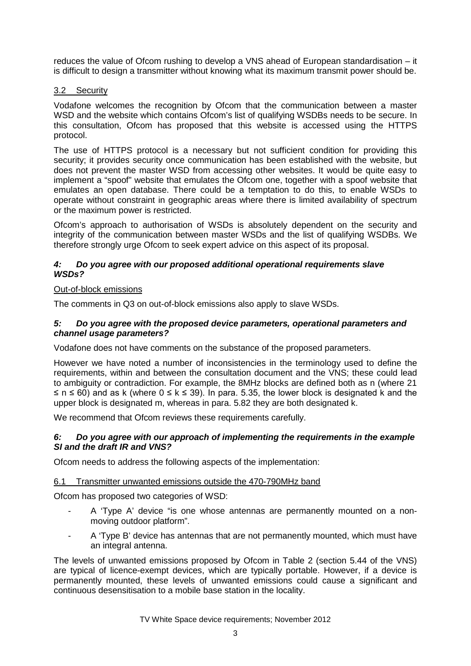reduces the value of Ofcom rushing to develop a VNS ahead of European standardisation – it is difficult to design a transmitter without knowing what its maximum transmit power should be.

## 3.2 Security

Vodafone welcomes the recognition by Ofcom that the communication between a master WSD and the website which contains Ofcom's list of qualifying WSDBs needs to be secure. In this consultation, Ofcom has proposed that this website is accessed using the HTTPS protocol.

The use of HTTPS protocol is a necessary but not sufficient condition for providing this security; it provides security once communication has been established with the website, but does not prevent the master WSD from accessing other websites. It would be quite easy to implement a "spoof" website that emulates the Ofcom one, together with a spoof website that emulates an open database. There could be a temptation to do this, to enable WSDs to operate without constraint in geographic areas where there is limited availability of spectrum or the maximum power is restricted.

Ofcom's approach to authorisation of WSDs is absolutely dependent on the security and integrity of the communication between master WSDs and the list of qualifying WSDBs. We therefore strongly urge Ofcom to seek expert advice on this aspect of its proposal.

#### *4: Do you agree with our proposed additional operational requirements slave WSDs?*

## Out-of-block emissions

The comments in Q3 on out-of-block emissions also apply to slave WSDs.

## *5: Do you agree with the proposed device parameters, operational parameters and channel usage parameters?*

Vodafone does not have comments on the substance of the proposed parameters.

However we have noted a number of inconsistencies in the terminology used to define the requirements, within and between the consultation document and the VNS; these could lead to ambiguity or contradiction. For example, the 8MHz blocks are defined both as n (where 21  $\leq$  n  $\leq$  60) and as k (where  $0 \leq$  k  $\leq$  39). In para. 5.35, the lower block is designated k and the upper block is designated m, whereas in para. 5.82 they are both designated k.

We recommend that Ofcom reviews these requirements carefully.

## *6: Do you agree with our approach of implementing the requirements in the example SI and the draft IR and VNS?*

Ofcom needs to address the following aspects of the implementation:

## 6.1 Transmitter unwanted emissions outside the 470-790MHz band

Ofcom has proposed two categories of WSD:

- A 'Type A' device "is one whose antennas are permanently mounted on a nonmoving outdoor platform".
- A 'Type B' device has antennas that are not permanently mounted, which must have an integral antenna.

The levels of unwanted emissions proposed by Ofcom in Table 2 (section 5.44 of the VNS) are typical of licence-exempt devices, which are typically portable. However, if a device is permanently mounted, these levels of unwanted emissions could cause a significant and continuous desensitisation to a mobile base station in the locality.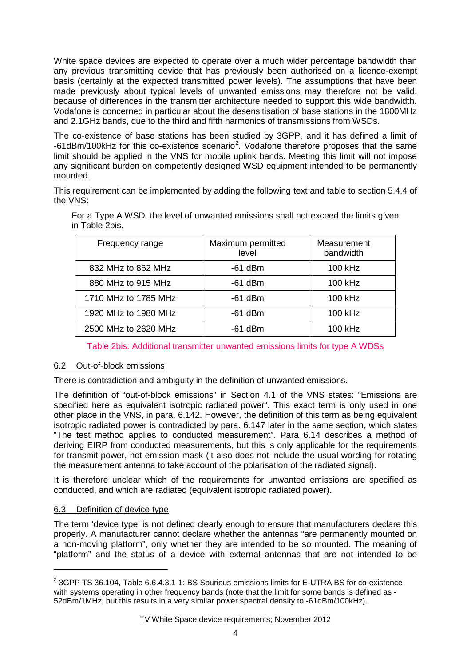White space devices are expected to operate over a much wider percentage bandwidth than any previous transmitting device that has previously been authorised on a licence-exempt basis (certainly at the expected transmitted power levels). The assumptions that have been made previously about typical levels of unwanted emissions may therefore not be valid, because of differences in the transmitter architecture needed to support this wide bandwidth. Vodafone is concerned in particular about the desensitisation of base stations in the 1800MHz and 2.1GHz bands, due to the third and fifth harmonics of transmissions from WSDs.

The co-existence of base stations has been studied by 3GPP, and it has defined a limit of -61dBm/100kHz for this co-existence scenario<sup>[2](#page-3-0)</sup>. Vodafone therefore proposes that the same limit should be applied in the VNS for mobile uplink bands. Meeting this limit will not impose any significant burden on competently designed WSD equipment intended to be permanently mounted.

This requirement can be implemented by adding the following text and table to section 5.4.4 of the VNS:

| Frequency range      | Maximum permitted<br>level | Measurement<br>bandwidth |
|----------------------|----------------------------|--------------------------|
| 832 MHz to 862 MHz   | $-61$ dBm                  | 100 kHz                  |
| 880 MHz to 915 MHz   | $-61$ dBm                  | 100 kHz                  |
| 1710 MHz to 1785 MHz | $-61$ dBm                  | 100 kHz                  |
| 1920 MHz to 1980 MHz | $-61$ dBm                  | 100 kHz                  |
| 2500 MHz to 2620 MHz | $-61$ dBm                  | 100 kHz                  |

For a Type A WSD, the level of unwanted emissions shall not exceed the limits given in Table 2bis.

## Table 2bis: Additional transmitter unwanted emissions limits for type A WDSs

## 6.2 Out-of-block emissions

There is contradiction and ambiguity in the definition of unwanted emissions.

The definition of "out-of-block emissions" in Section 4.1 of the VNS states: "Emissions are specified here as equivalent isotropic radiated power". This exact term is only used in one other place in the VNS, in para. 6.142. However, the definition of this term as being equivalent isotropic radiated power is contradicted by para. 6.147 later in the same section, which states "The test method applies to conducted measurement". Para 6.14 describes a method of deriving EIRP from conducted measurements, but this is only applicable for the requirements for transmit power, not emission mask (it also does not include the usual wording for rotating the measurement antenna to take account of the polarisation of the radiated signal).

It is therefore unclear which of the requirements for unwanted emissions are specified as conducted, and which are radiated (equivalent isotropic radiated power).

## 6.3 Definition of device type

 $\ddot{\phantom{a}}$ 

The term 'device type' is not defined clearly enough to ensure that manufacturers declare this properly. A manufacturer cannot declare whether the antennas "are permanently mounted on a non-moving platform", only whether they are intended to be so mounted. The meaning of "platform" and the status of a device with external antennas that are not intended to be

<span id="page-3-0"></span> $2$  3GPP TS 36.104, Table 6.6.4.3.1-1: BS Spurious emissions limits for E-UTRA BS for co-existence with systems operating in other frequency bands (note that the limit for some bands is defined as - 52dBm/1MHz, but this results in a very similar power spectral density to -61dBm/100kHz).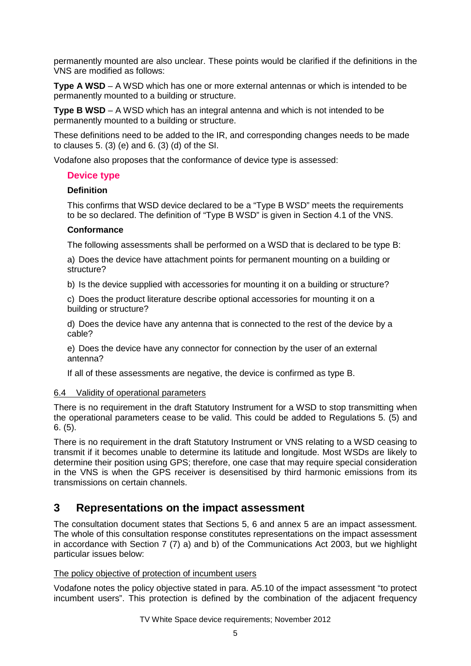permanently mounted are also unclear. These points would be clarified if the definitions in the VNS are modified as follows:

**Type A WSD** – A WSD which has one or more external antennas or which is intended to be permanently mounted to a building or structure.

**Type B WSD** – A WSD which has an integral antenna and which is not intended to be permanently mounted to a building or structure.

These definitions need to be added to the IR, and corresponding changes needs to be made to clauses 5. (3) (e) and 6. (3) (d) of the SI.

Vodafone also proposes that the conformance of device type is assessed:

## **Device type**

## **Definition**

This confirms that WSD device declared to be a "Type B WSD" meets the requirements to be so declared. The definition of "Type B WSD" is given in Section 4.1 of the VNS.

## **Conformance**

The following assessments shall be performed on a WSD that is declared to be type B:

a) Does the device have attachment points for permanent mounting on a building or structure?

b) Is the device supplied with accessories for mounting it on a building or structure?

c) Does the product literature describe optional accessories for mounting it on a building or structure?

d) Does the device have any antenna that is connected to the rest of the device by a cable?

e) Does the device have any connector for connection by the user of an external antenna?

If all of these assessments are negative, the device is confirmed as type B.

## 6.4 Validity of operational parameters

There is no requirement in the draft Statutory Instrument for a WSD to stop transmitting when the operational parameters cease to be valid. This could be added to Regulations 5. (5) and 6. (5).

There is no requirement in the draft Statutory Instrument or VNS relating to a WSD ceasing to transmit if it becomes unable to determine its latitude and longitude. Most WSDs are likely to determine their position using GPS; therefore, one case that may require special consideration in the VNS is when the GPS receiver is desensitised by third harmonic emissions from its transmissions on certain channels.

## **3 Representations on the impact assessment**

The consultation document states that Sections 5, 6 and annex 5 are an impact assessment. The whole of this consultation response constitutes representations on the impact assessment in accordance with Section 7 (7) a) and b) of the Communications Act 2003, but we highlight particular issues below:

## The policy objective of protection of incumbent users

Vodafone notes the policy objective stated in para. A5.10 of the impact assessment "to protect incumbent users". This protection is defined by the combination of the adjacent frequency

TV White Space device requirements; November 2012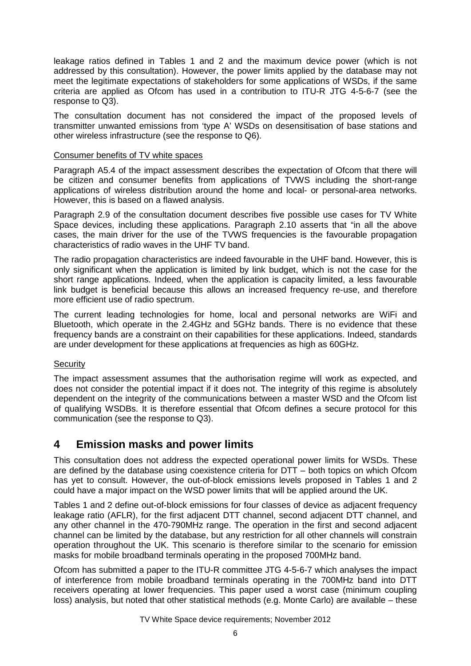leakage ratios defined in Tables 1 and 2 and the maximum device power (which is not addressed by this consultation). However, the power limits applied by the database may not meet the legitimate expectations of stakeholders for some applications of WSDs, if the same criteria are applied as Ofcom has used in a contribution to ITU-R JTG 4-5-6-7 (see the response to Q3).

The consultation document has not considered the impact of the proposed levels of transmitter unwanted emissions from 'type A' WSDs on desensitisation of base stations and other wireless infrastructure (see the response to Q6).

## Consumer benefits of TV white spaces

Paragraph A5.4 of the impact assessment describes the expectation of Ofcom that there will be citizen and consumer benefits from applications of TVWS including the short-range applications of wireless distribution around the home and local- or personal-area networks. However, this is based on a flawed analysis.

Paragraph 2.9 of the consultation document describes five possible use cases for TV White Space devices, including these applications. Paragraph 2.10 asserts that "in all the above cases, the main driver for the use of the TVWS frequencies is the favourable propagation characteristics of radio waves in the UHF TV band.

The radio propagation characteristics are indeed favourable in the UHF band. However, this is only significant when the application is limited by link budget, which is not the case for the short range applications. Indeed, when the application is capacity limited, a less favourable link budget is beneficial because this allows an increased frequency re-use, and therefore more efficient use of radio spectrum.

The current leading technologies for home, local and personal networks are WiFi and Bluetooth, which operate in the 2.4GHz and 5GHz bands. There is no evidence that these frequency bands are a constraint on their capabilities for these applications. Indeed, standards are under development for these applications at frequencies as high as 60GHz.

## **Security**

The impact assessment assumes that the authorisation regime will work as expected, and does not consider the potential impact if it does not. The integrity of this regime is absolutely dependent on the integrity of the communications between a master WSD and the Ofcom list of qualifying WSDBs. It is therefore essential that Ofcom defines a secure protocol for this communication (see the response to Q3).

## **4 Emission masks and power limits**

This consultation does not address the expected operational power limits for WSDs. These are defined by the database using coexistence criteria for DTT – both topics on which Ofcom has yet to consult. However, the out-of-block emissions levels proposed in Tables 1 and 2 could have a major impact on the WSD power limits that will be applied around the UK.

Tables 1 and 2 define out-of-block emissions for four classes of device as adjacent frequency leakage ratio (AFLR), for the first adjacent DTT channel, second adjacent DTT channel, and any other channel in the 470-790MHz range. The operation in the first and second adjacent channel can be limited by the database, but any restriction for all other channels will constrain operation throughout the UK. This scenario is therefore similar to the scenario for emission masks for mobile broadband terminals operating in the proposed 700MHz band.

Ofcom has submitted a paper to the ITU-R committee JTG 4-5-6-7 which analyses the impact of interference from mobile broadband terminals operating in the 700MHz band into DTT receivers operating at lower frequencie[s.](#page-1-1) This paper used a worst case (minimum coupling loss) analysis, but noted that other statistical methods (e.g. Monte Carlo) are available – these